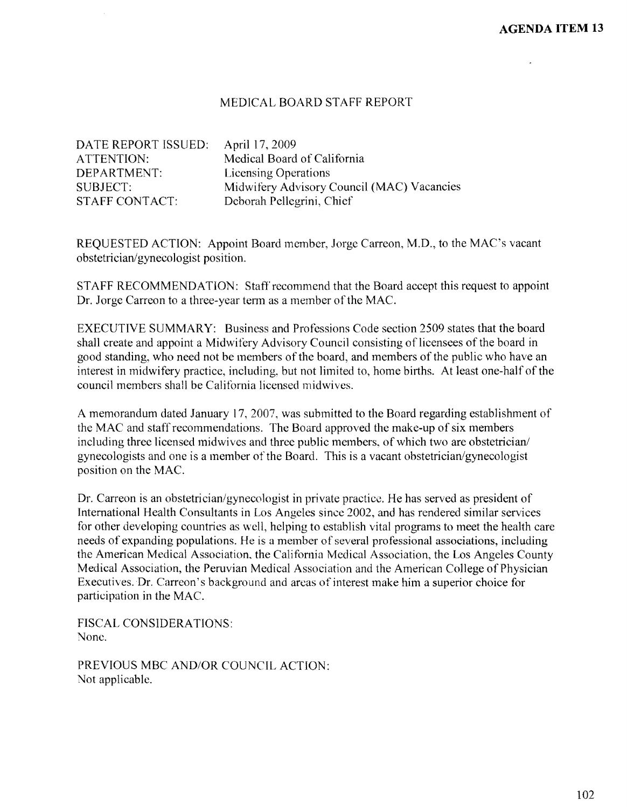## MEDICAL BOARD STAFF REPORT

DATE REPORT ISSUED: April 17, 2009 DEPARTMENT: Licensing Operations STAFF CONTACT: Deborah Pellegrini, Chief

ATTENTION: Medical Board of California SUBJECT: Midwifery Advisory Council (MAC) Vacancies

REQUESTED ACTION: Appoint Board member, Jorge Carreon, M.D., to the MAC's vacant obstetrician/gynecologist position.

STAFF RECOMMENDATION: Staff recommend that the Board accept this request to appoint Dr. Jorge Carreon to a three-year term as a member of the MAC.

EXECUTIVE SUMMARY: Business and Professions Code section 2509 states that the board shall create and appoint a Midwifery Advisory Council consisting of licensees of the board in good standing, who need not be members of the board, and members of the public who have an interest in midwifery practice, including, but not limited to, home births. At least one-half of the council members shall be California licensed midwives.

A memorandum dated January 17, 2007, was submitted to the Board regarding establishment of the MAC and staff recommendations. The Board approved the make-up of six members including three licensed midwives and three public members, of which two are obstetrician/ gynecologists and one is a member of the Board. This is a vacant obstetrician/gynecologist position on the MAC.

Dr. Carreon is an obstetrician/gynecologist in private practice. He has served as president of International Health Consultants in Los Angeles since 2002, and has rendered similar services for other developing countries as well, helping to establish vital programs to meet the health care needs of expanding populations. He is a member of several professional associations, including the American Medical Association, the California Medical Association, the Los Angeles County Medical Association, the Peruvian Medical Association and the American College of Physician Executives. Dr. Carreon's background and areas of interest make him a superior choice for participation in the MAC.

FISCAL CONSIDERATIONS: None.

PREVIOUS MBC AND/OR COUNCIL ACTION: Not applicable.